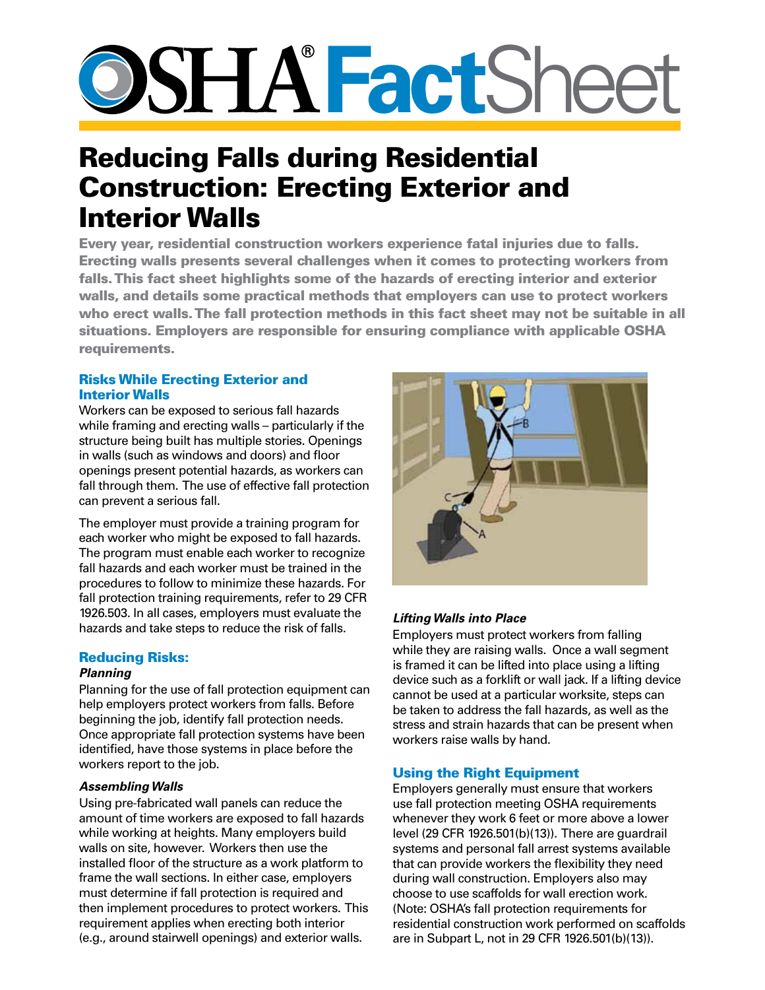# **SSHA FactShee**

# Reducing Falls during Residential Construction: Erecting Exterior and Interior Walls

Every year, residential construction workers experience fatal injuries due to falls. Erecting walls presents several challenges when it comes to protecting workers from falls. This fact sheet highlights some of the hazards of erecting interior and exterior walls, and details some practical methods that employers can use to protect workers who erect walls. The fall protection methods in this fact sheet may not be suitable in all situations. Employers are responsible for ensuring compliance with applicable OSHA requirements.

# Risks While Erecting Exterior and Interior Walls

Workers can be exposed to serious fall hazards while framing and erecting walls – particularly if the structure being built has multiple stories. Openings in walls (such as windows and doors) and floor openings present potential hazards, as workers can fall through them. The use of effective fall protection can prevent a serious fall.

The employer must provide a training program for each worker who might be exposed to fall hazards. The program must enable each worker to recognize fall hazards and each worker must be trained in the procedures to follow to minimize these hazards. For fall protection training requirements, refer to 29 CFR 1926.503. In all cases, employers must evaluate the hazards and take steps to reduce the risk of falls.

# Reducing Risks:

# *Planning*

Planning for the use of fall protection equipment can help employers protect workers from falls. Before beginning the job, identify fall protection needs. Once appropriate fall protection systems have been identified, have those systems in place before the workers report to the job.

#### *Assembling Walls*

Using pre-fabricated wall panels can reduce the amount of time workers are exposed to fall hazards while working at heights. Many employers build walls on site, however. Workers then use the installed floor of the structure as a work platform to frame the wall sections. In either case, employers must determine if fall protection is required and then implement procedures to protect workers. This requirement applies when erecting both interior (e.g., around stairwell openings) and exterior walls.



# *Lifting Walls into Place*

Employers must protect workers from falling while they are raising walls. Once a wall segment is framed it can be lifted into place using a lifting device such as a forklift or wall jack. If a lifting device cannot be used at a particular worksite, steps can be taken to address the fall hazards, as well as the stress and strain hazards that can be present when workers raise walls by hand.

# Using the Right Equipment

Employers generally must ensure that workers use fall protection meeting OSHA requirements whenever they work 6 feet or more above a lower level (29 CFR 1926.501(b)(13)). There are guardrail systems and personal fall arrest systems available that can provide workers the flexibility they need during wall construction. Employers also may choose to use scaffolds for wall erection work. (Note: OSHA's fall protection requirements for residential construction work performed on scaffolds are in Subpart L, not in 29 CFR 1926.501(b)(13)).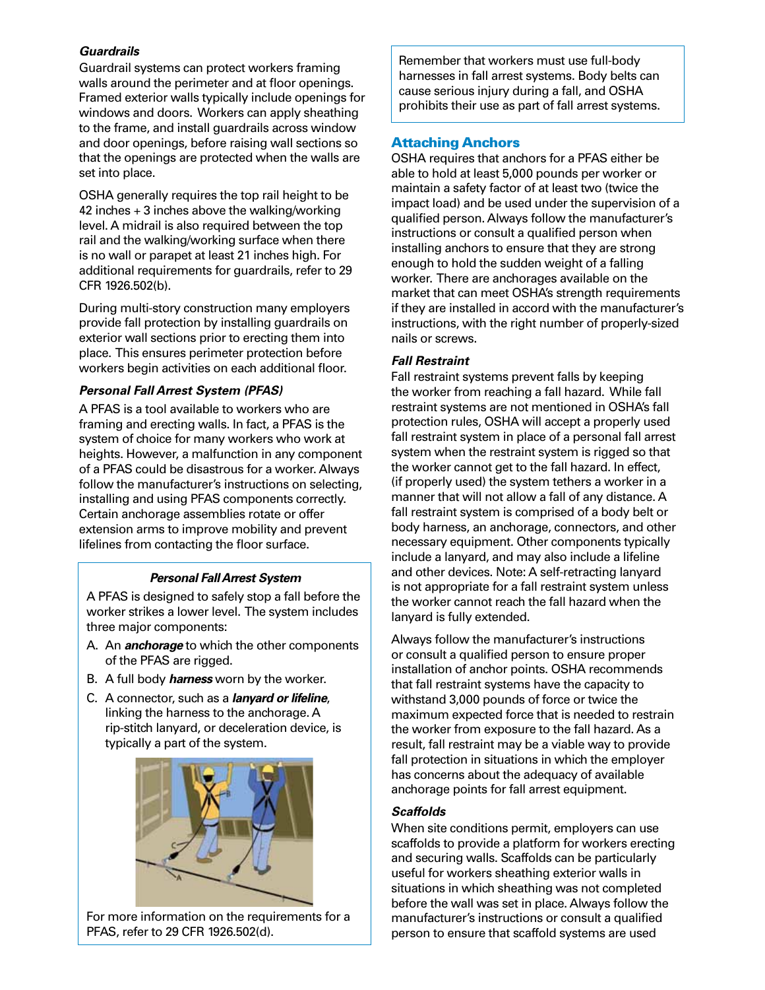#### *Guardrails*

Guardrail systems can protect workers framing walls around the perimeter and at floor openings. Framed exterior walls typically include openings for windows and doors. Workers can apply sheathing to the frame, and install guardrails across window and door openings, before raising wall sections so that the openings are protected when the walls are set into place.

OSHA generally requires the top rail height to be 42 inches  $+$  3 inches above the walking/working level. A midrail is also required between the top rail and the walking/working surface when there is no wall or parapet at least 21 inches high. For additional requirements for guardrails, refer to 29 CFR 1926.502(b).

During multi-story construction many employers provide fall protection by installing guardrails on exterior wall sections prior to erecting them into place. This ensures perimeter protection before workers begin activities on each additional floor.

#### *Personal Fall Arrest System (PFAS)*

A PFAS is a tool available to workers who are framing and erecting walls. In fact, a PFAS is the system of choice for many workers who work at heights. However, a malfunction in any component of a PFAS could be disastrous for a worker. Always follow the manufacturer's instructions on selecting, installing and using PFAS components correctly. Certain anchorage assemblies rotate or offer extension arms to improve mobility and prevent lifelines from contacting the floor surface.

#### *Personal Fall Arrest System*

A PFAS is designed to safely stop a fall before the worker strikes a lower level. The system includes three major components:

- A. An *anchorage* to which the other components of the PFAS are rigged.
- B. A full body *harness* worn by the worker.
- C. A connector, such as a *lanyard or lifeline*, linking the harness to the anchorage. A rip-stitch lanyard, or deceleration device, is typically a part of the system.



For more information on the requirements for a PFAS, refer to 29 CFR 1926.502(d).

Remember that workers must use full-body harnesses in fall arrest systems. Body belts can cause serious injury during a fall, and OSHA prohibits their use as part of fall arrest systems.

# Attaching Anchors

OSHA requires that anchors for a PFAS either be able to hold at least 5,000 pounds per worker or maintain a safety factor of at least two (twice the impact load) and be used under the supervision of a qualified person. Always follow the manufacturer's instructions or consult a qualified person when installing anchors to ensure that they are strong enough to hold the sudden weight of a falling worker. There are anchorages available on the market that can meet OSHA's strength requirements if they are installed in accord with the manufacturer's instructions, with the right number of properly-sized nails or screws.

# *Fall Restraint*

Fall restraint systems prevent falls by keeping the worker from reaching a fall hazard. While fall restraint systems are not mentioned in OSHA's fall protection rules, OSHA will accept a properly used fall restraint system in place of a personal fall arrest system when the restraint system is rigged so that the worker cannot get to the fall hazard. In effect, (if properly used) the system tethers a worker in a manner that will not allow a fall of any distance. A fall restraint system is comprised of a body belt or body harness, an anchorage, connectors, and other necessary equipment. Other components typically include a lanyard, and may also include a lifeline and other devices. Note: A self-retracting lanyard is not appropriate for a fall restraint system unless the worker cannot reach the fall hazard when the lanyard is fully extended.

Always follow the manufacturer's instructions or consult a qualified person to ensure proper installation of anchor points. OSHA recommends that fall restraint systems have the capacity to withstand 3,000 pounds of force or twice the maximum expected force that is needed to restrain the worker from exposure to the fall hazard. As a result, fall restraint may be a viable way to provide fall protection in situations in which the employer has concerns about the adequacy of available anchorage points for fall arrest equipment.

# *Scaffolds*

When site conditions permit, employers can use scaffolds to provide a platform for workers erecting and securing walls. Scaffolds can be particularly useful for workers sheathing exterior walls in situations in which sheathing was not completed before the wall was set in place. Always follow the manufacturer's instructions or consult a qualified person to ensure that scaffold systems are used